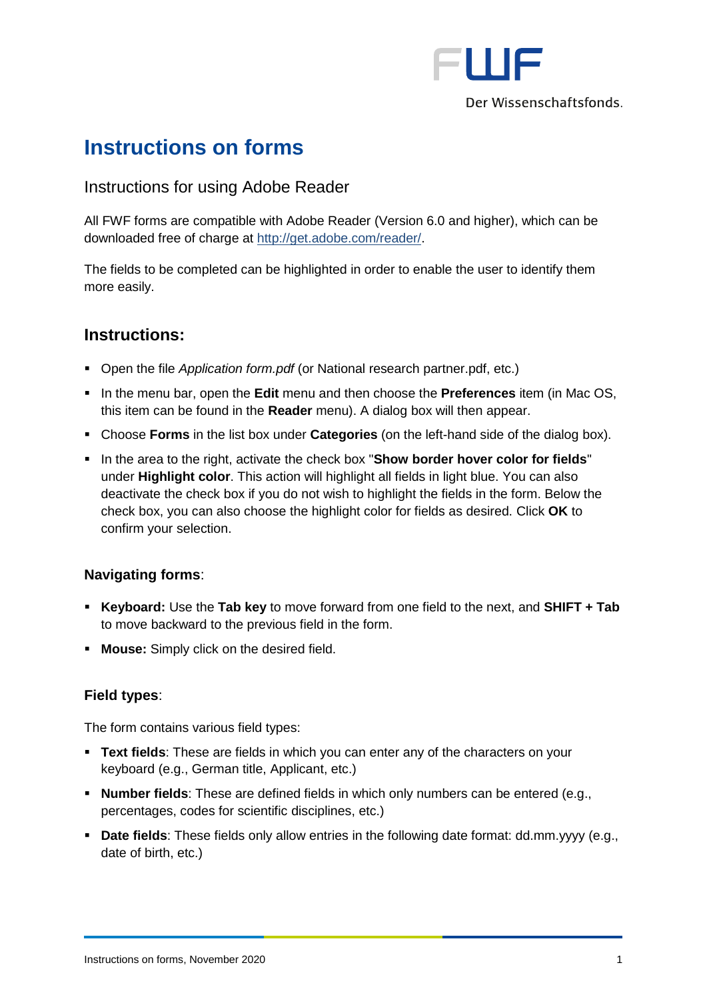

Der Wissenschaftsfonds.

# **Instructions on forms**

## Instructions for using Adobe Reader

All FWF forms are compatible with Adobe Reader (Version 6.0 and higher), which can be downloaded free of charge at [http://get.adobe.com/reader/.](http://get.adobe.com/reader/)

The fields to be completed can be highlighted in order to enable the user to identify them more easily.

## **Instructions:**

- Open the file *Application form.pdf* (or National research partner.pdf, etc.)
- In the menu bar, open the **Edit** menu and then choose the **Preferences** item (in Mac OS, this item can be found in the **Reader** menu). A dialog box will then appear.
- Choose **Forms** in the list box under **Categories** (on the left-hand side of the dialog box).
- In the area to the right, activate the check box "**Show border hover color for fields**" under **Highlight color**. This action will highlight all fields in light blue. You can also deactivate the check box if you do not wish to highlight the fields in the form. Below the check box, you can also choose the highlight color for fields as desired. Click **OK** to confirm your selection.

### **Navigating forms**:

- **Keyboard:** Use the **Tab key** to move forward from one field to the next, and **SHIFT + Tab** to move backward to the previous field in the form.
- **Mouse:** Simply click on the desired field.

### **Field types**:

The form contains various field types:

- **EXT fields:** These are fields in which you can enter any of the characters on your keyboard (e.g., German title, Applicant, etc.)
- **Number fields**: These are defined fields in which only numbers can be entered (e.g., percentages, codes for scientific disciplines, etc.)
- **Date fields**: These fields only allow entries in the following date format: dd.mm.yyyy (e.g., date of birth, etc.)